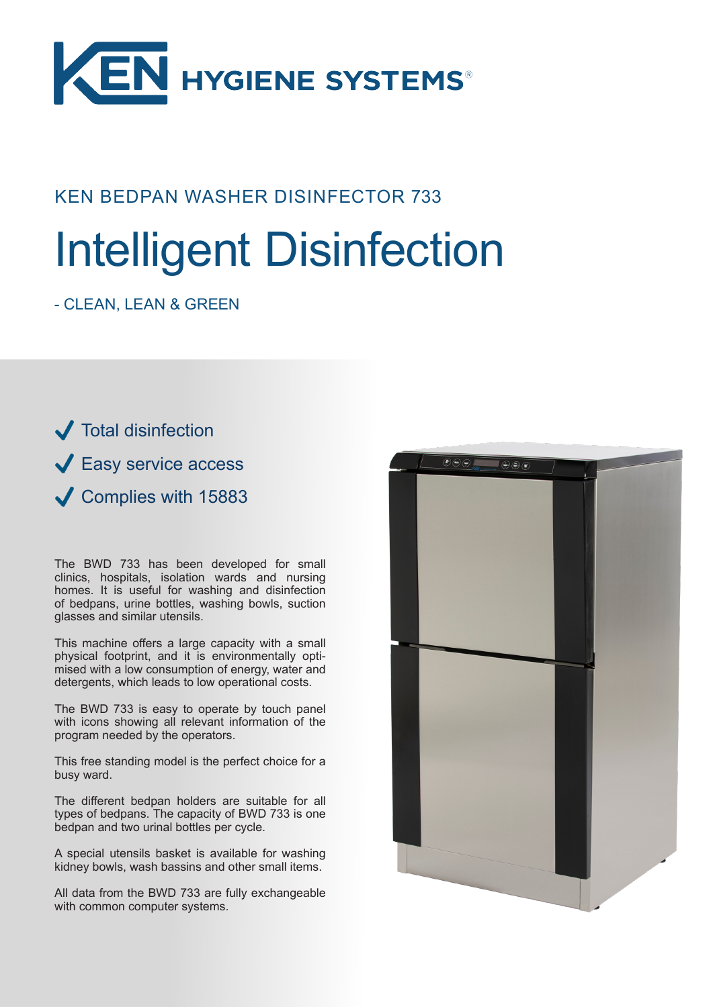

### KEN BEDPAN WASHER DISINFECTOR 733

# Intelligent Disinfection

- CLEAN, LEAN & GREEN

**J** Total disinfection **↓ Easy service access** Complies with 15883

The BWD 733 has been developed for small clinics, hospitals, isolation wards and nursing homes. It is useful for washing and disinfection of bedpans, urine bottles, washing bowls, suction glasses and similar utensils.

This machine offers a large capacity with a small physical footprint, and it is environmentally optimised with a low consumption of energy, water and detergents, which leads to low operational costs.

The BWD 733 is easy to operate by touch panel with icons showing all relevant information of the program needed by the operators.

This free standing model is the perfect choice for a busy ward.

The different bedpan holders are suitable for all types of bedpans. The capacity of BWD 733 is one bedpan and two urinal bottles per cycle.

A special utensils basket is available for washing kidney bowls, wash bassins and other small items.

All data from the BWD 733 are fully exchangeable with common computer systems.